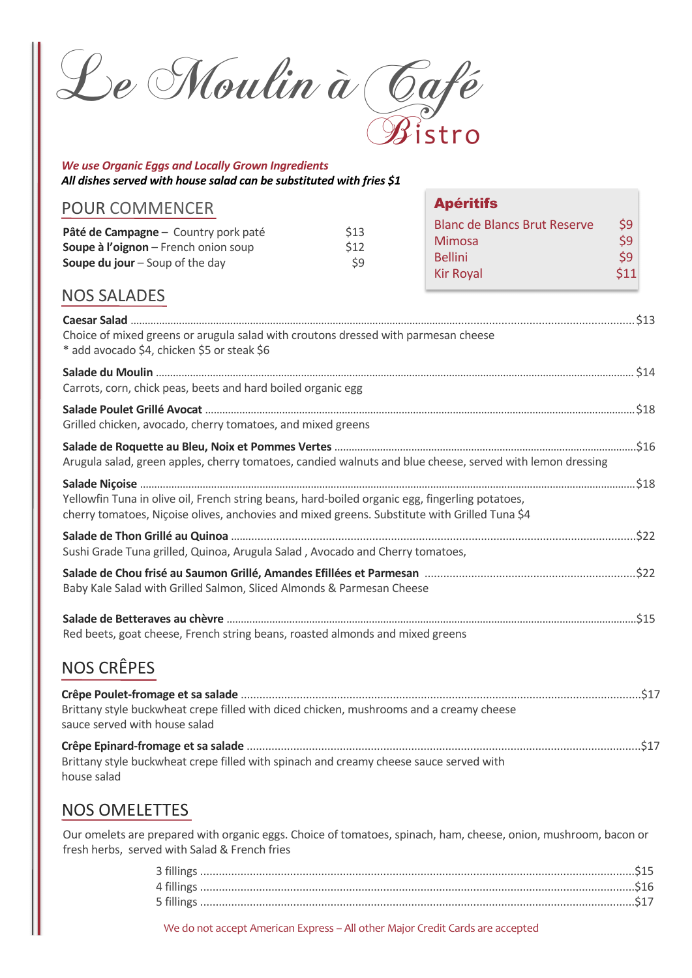

#### *We use Organic Eggs and Locally Grown Ingredients All dishes served with house salad can be substituted with fries \$1*

| <b>POUR COMMENCER</b>                                                                                                    |                     | <b>Apéritifs</b>                                                                    |                           |
|--------------------------------------------------------------------------------------------------------------------------|---------------------|-------------------------------------------------------------------------------------|---------------------------|
| Pâté de Campagne - Country pork paté<br>Soupe à l'oignon - French onion soup<br><b>Soupe du jour</b> $-$ Soup of the day | \$13<br>\$12<br>\$9 | <b>Blanc de Blancs Brut Reserve</b><br>Mimosa<br><b>Bellini</b><br><b>Kir Royal</b> | \$9<br>\$9<br>\$9<br>\$11 |

## NOS SALADES

| Choice of mixed greens or arugula salad with croutons dressed with parmesan cheese<br>* add avocado \$4, chicken \$5 or steak \$6                                                                |  |
|--------------------------------------------------------------------------------------------------------------------------------------------------------------------------------------------------|--|
|                                                                                                                                                                                                  |  |
| Carrots, corn, chick peas, beets and hard boiled organic egg                                                                                                                                     |  |
| Grilled chicken, avocado, cherry tomatoes, and mixed greens                                                                                                                                      |  |
| Arugula salad, green apples, cherry tomatoes, candied walnuts and blue cheese, served with lemon dressing                                                                                        |  |
| Yellowfin Tuna in olive oil, French string beans, hard-boiled organic egg, fingerling potatoes,<br>cherry tomatoes, Niçoise olives, anchovies and mixed greens. Substitute with Grilled Tuna \$4 |  |
| Sushi Grade Tuna grilled, Quinoa, Arugula Salad, Avocado and Cherry tomatoes,                                                                                                                    |  |
| Baby Kale Salad with Grilled Salmon, Sliced Almonds & Parmesan Cheese                                                                                                                            |  |
| Red beets, goat cheese, French string beans, roasted almonds and mixed greens                                                                                                                    |  |

# NOS CRÊPES

| Brittany style buckwheat crepe filled with diced chicken, mushrooms and a creamy cheese<br>sauce served with house salad |  |
|--------------------------------------------------------------------------------------------------------------------------|--|
| Brittany style buckwheat crepe filled with spinach and creamy cheese sauce served with<br>house salad                    |  |

## NOS OMELETTES

Our omelets are prepared with organic eggs. Choice of tomatoes, spinach, ham, cheese, onion, mushroom, bacon or fresh herbs, served with Salad & French fries

We do not accept American Express – All other Major Credit Cards are accepted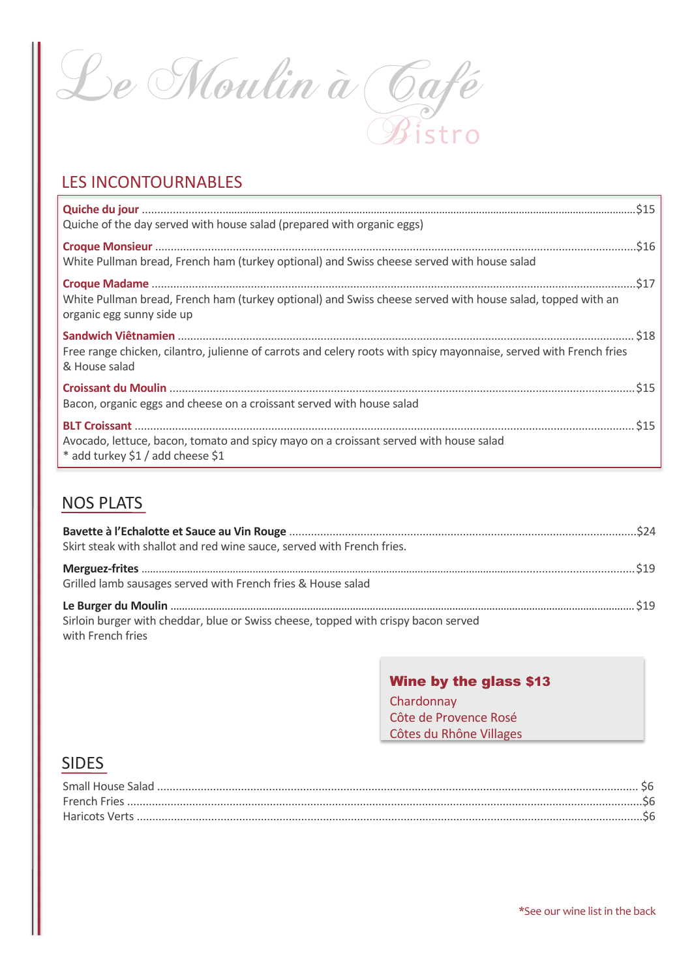

### LES INCONTOURNABLES

| Quiche of the day served with house salad (prepared with organic eggs)                                                                  |  |
|-----------------------------------------------------------------------------------------------------------------------------------------|--|
| White Pullman bread, French ham (turkey optional) and Swiss cheese served with house salad                                              |  |
| White Pullman bread, French ham (turkey optional) and Swiss cheese served with house salad, topped with an<br>organic egg sunny side up |  |
| Free range chicken, cilantro, julienne of carrots and celery roots with spicy mayonnaise, served with French fries<br>& House salad     |  |
| Bacon, organic eggs and cheese on a croissant served with house salad                                                                   |  |
| Avocado, lettuce, bacon, tomato and spicy mayo on a croissant served with house salad<br>* add turkey \$1 / add cheese \$1              |  |

## NOS PLATS

| Skirt steak with shallot and red wine sauce, served with French fries.             |  |
|------------------------------------------------------------------------------------|--|
|                                                                                    |  |
| Grilled lamb sausages served with French fries & House salad                       |  |
|                                                                                    |  |
| Sirloin burger with cheddar, blue or Swiss cheese, topped with crispy bacon served |  |
| with French fries                                                                  |  |

#### Wine by the glass \$13

**Chardonnay** Côte de Provence Rosé Côtes du Rhône Villages

### SIDES